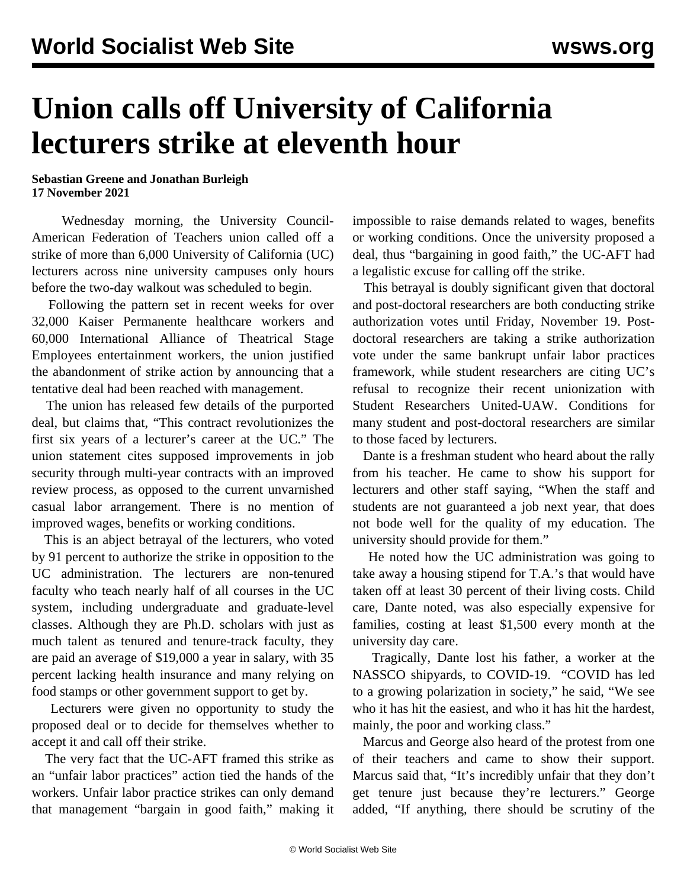## **Union calls off University of California lecturers strike at eleventh hour**

**Sebastian Greene and Jonathan Burleigh 17 November 2021**

 Wednesday morning, the University Council-American Federation of Teachers union called off a strike of more than 6,000 University of California (UC) lecturers across nine university campuses only hours before the two-day walkout was scheduled to begin.

 Following the pattern set in recent weeks for over 32,000 Kaiser Permanente healthcare workers and 60,000 International Alliance of Theatrical Stage Employees entertainment workers, the union justified the abandonment of strike action by announcing that a tentative deal had been reached with management.

 The union has released few details of the purported deal, but claims that, "This contract revolutionizes the first six years of a lecturer's career at the UC." The union statement cites supposed improvements in job security through multi-year contracts with an improved review process, as opposed to the current unvarnished casual labor arrangement. There is no mention of improved wages, benefits or working conditions.

 This is an abject betrayal of the lecturers, who voted by 91 percent to authorize the strike in opposition to the UC administration. The lecturers are non-tenured faculty who teach nearly half of all courses in the UC system, including undergraduate and graduate-level classes. Although they are Ph.D. scholars with just as much talent as tenured and tenure-track faculty, they are paid an average of \$19,000 a year in salary, with 35 percent lacking health insurance and many relying on food stamps or other government support to get by.

 Lecturers were given no opportunity to study the proposed deal or to decide for themselves whether to accept it and call off their strike.

 The very fact that the UC-AFT framed this strike as an "unfair labor practices" action tied the hands of the workers. Unfair labor practice strikes can only demand that management "bargain in good faith," making it impossible to raise demands related to wages, benefits or working conditions. Once the university proposed a deal, thus "bargaining in good faith," the UC-AFT had a legalistic excuse for calling off the strike.

 This betrayal is doubly significant given that doctoral and post-doctoral researchers are both conducting strike authorization votes until Friday, November 19. Postdoctoral researchers are taking a strike authorization vote under the same bankrupt unfair labor practices framework, while student researchers are citing UC's refusal to recognize their recent unionization with Student Researchers United-UAW. Conditions for many student and post-doctoral researchers are similar to those faced by lecturers.

 Dante is a freshman student who heard about the rally from his teacher. He came to show his support for lecturers and other staff saying, "When the staff and students are not guaranteed a job next year, that does not bode well for the quality of my education. The university should provide for them."

 He noted how the UC administration was going to take away a housing stipend for T.A.'s that would have taken off at least 30 percent of their living costs. Child care, Dante noted, was also especially expensive for families, costing at least \$1,500 every month at the university day care.

 Tragically, Dante lost his father, a worker at the NASSCO shipyards, to COVID-19. "COVID has led to a growing polarization in society," he said, "We see who it has hit the easiest, and who it has hit the hardest, mainly, the poor and working class."

 Marcus and George also heard of the protest from one of their teachers and came to show their support. Marcus said that, "It's incredibly unfair that they don't get tenure just because they're lecturers." George added, "If anything, there should be scrutiny of the